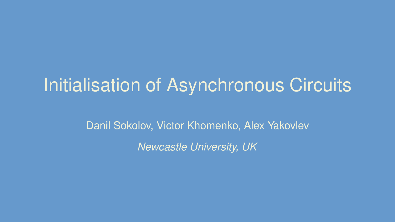# Initialisation of Asynchronous Circuits

Danil Sokolov, Victor Khomenko, Alex Yakovlev

*Newcastle University, UK*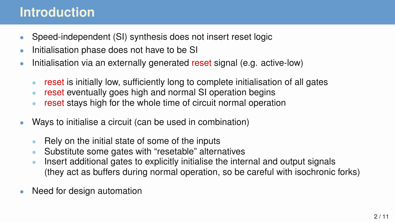#### **Introduction**

- Speed-independent (SI) synthesis does not insert reset logic
- Initialisation phase does not have to be SI
- Initialisation via an externally generated reset signal (e.g. active-low)
	- reset is initially low, sufficiently long to complete initialisation of all gates
	- reset eventually goes high and normal SI operation begins
	- reset stays high for the whole time of circuit normal operation
- Ways to initialise a circuit (can be used in combination)
	- Rely on the initial state of some of the inputs
	- Substitute some gates with "resetable" alternatives
	- Insert additional gates to explicitly initialise the internal and output signals (they act as buffers during normal operation, so be careful with isochronic forks)
- Need for design automation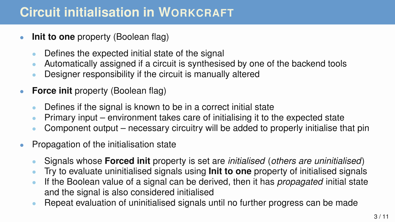#### **Circuit initialisation in WORKCRAFT**

- **Init to one** property (Boolean flag)
	- Defines the expected initial state of the signal
	- Automatically assigned if a circuit is synthesised by one of the backend tools
	- Designer responsibility if the circuit is manually altered
- **Force init** property (Boolean flag)
	- Defines if the signal is known to be in a correct initial state
	- Primary input environment takes care of initialising it to the expected state
	- Component output necessary circuitry will be added to properly initialise that pin
- Propagation of the initialisation state
	- Signals whose **Forced init** property is set are *initialised* (*others are uninitialised*)
	- Try to evaluate uninitialised signals using **Init to one** property of initialised signals
	- If the Boolean value of a signal can be derived, then it has *propagated* initial state and the signal is also considered initialised
	- Repeat evaluation of uninitialised signals until no further progress can be made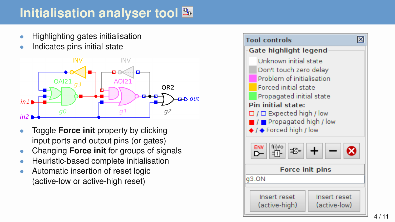## **Initialisation analyser tool**

- Highlighting gates initialisation
- Indicates pins initial state



- Toggle **Force init** property by clicking input ports and output pins (or gates)
- Changing **Force init** for groups of signals
- Heuristic-based complete initialisation
- Automatic insertion of reset logic (active-low or active-high reset)

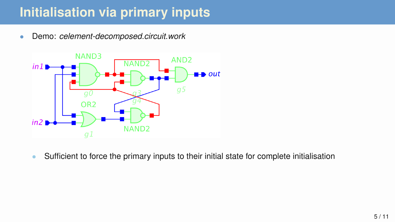### **Initialisation via primary inputs**

• Demo: *celement-decomposed.circuit.work*



• Sufficient to force the primary inputs to their initial state for complete initialisation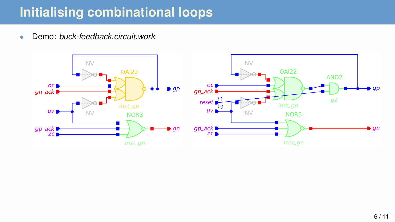#### **Initialising combinational loops**

• Demo: *buck-feedback.circuit.work*

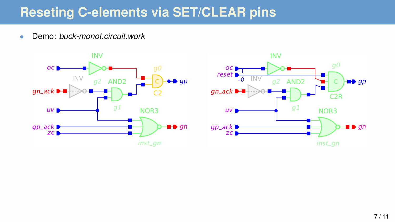#### **Reseting C-elements via SET/CLEAR pins**

• Demo: *buck-monot.circuit.work*



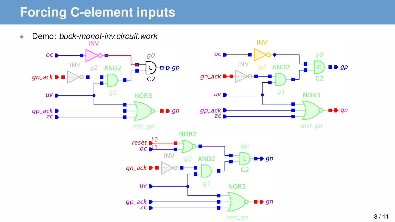### **Forcing C-element inputs**

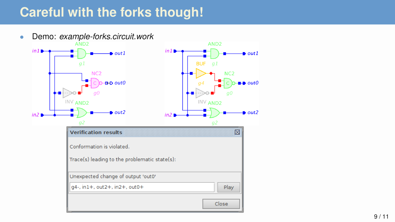### **Careful with the forks though!**

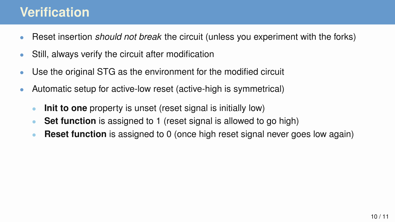#### **Verification**

- Reset insertion *should not break* the circuit (unless you experiment with the forks)
- Still, always verify the circuit after modification
- Use the original STG as the environment for the modified circuit
- Automatic setup for active-low reset (active-high is symmetrical)
	- **Init to one** property is unset (reset signal is initially low)
	- **Set function** is assigned to 1 (reset signal is allowed to go high)
	- **Reset function** is assigned to 0 (once high reset signal never goes low again)